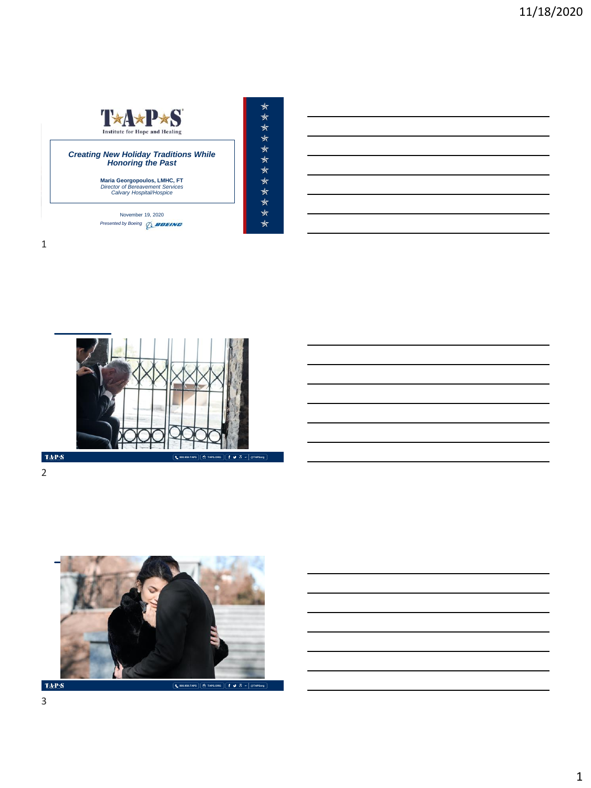



2



**TAPS**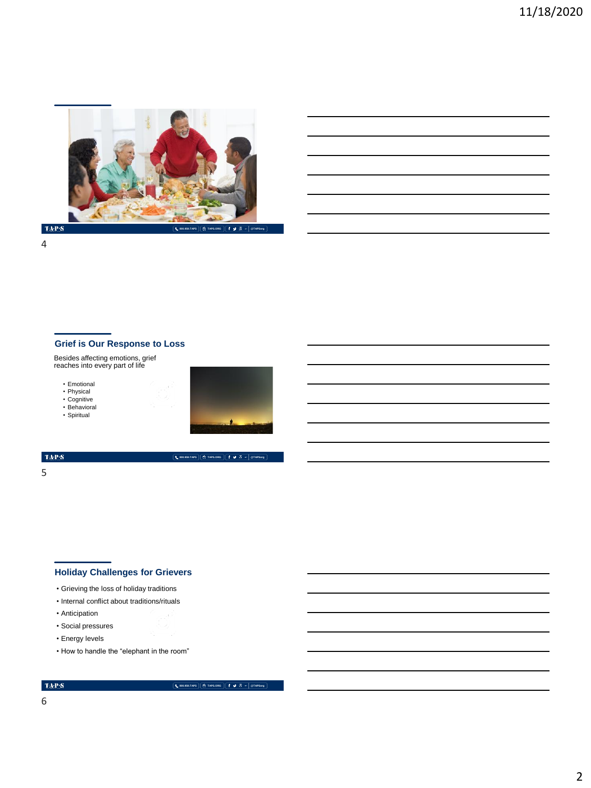

4

## **Grief is Our Response to Loss**

Besides affecting emotions, grief reaches into every part of life

- Emotional
- Physical Cognitive
- 
- Behavioral
- Spiritual



**800.959.TAPS TAPS.ORG @TAPSorg**

#### $\langle \mathrm{TaP} \cdot \mathbf{S} \rangle$

5

## **Holiday Challenges for Grievers**

- Grieving the loss of holiday traditions
- Internal conflict about traditions/rituals
- Anticipation
- Social pressures
- Energy levels
- How to handle the "elephant in the room"

## $\mbox{TA-PS}$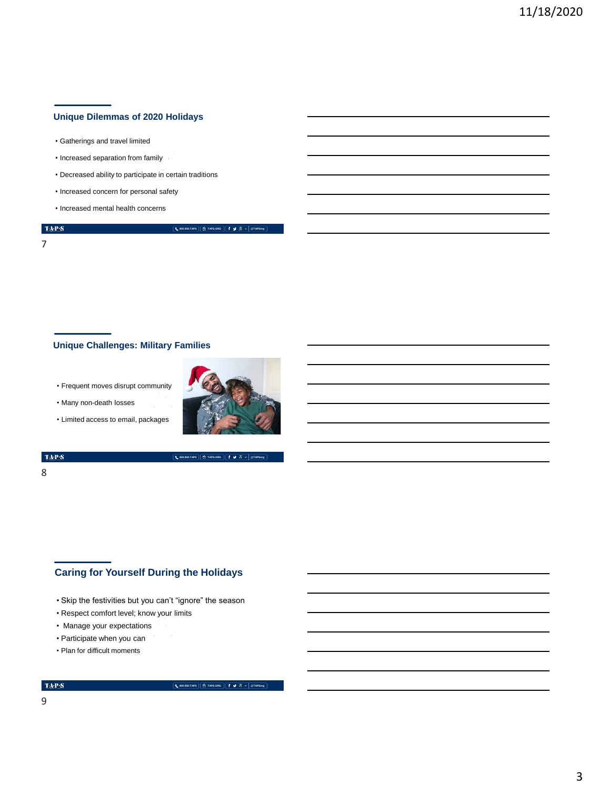## **Unique Dilemmas of 2020 Holidays**

- Gatherings and travel limited
- Increased separation from family
- Decreased ability to participate in certain traditions
- Increased concern for personal safety
- Increased mental health concerns

7

 $\langle \mathbf{T} \mathbf{A} \mathbf{P} \mathbf{S} \rangle$ 

#### **800.959.TAPS TAPS.ORG @TAPSorg**

## **Unique Challenges: Military Families**

- Frequent moves disrupt community
- Many non-death losses
- Limited access to email, packages



**800.959.TAPS TAPS.ORG @TAPSorg**

#### $\mathrm{TAP}S$

## 8

# **Caring for Yourself During the Holidays**

- Skip the festivities but you can't "ignore" the season
- Respect comfort level; know your limits
- Manage your expectations
- Participate when you can
- Plan for difficult moments

#### **TAPS**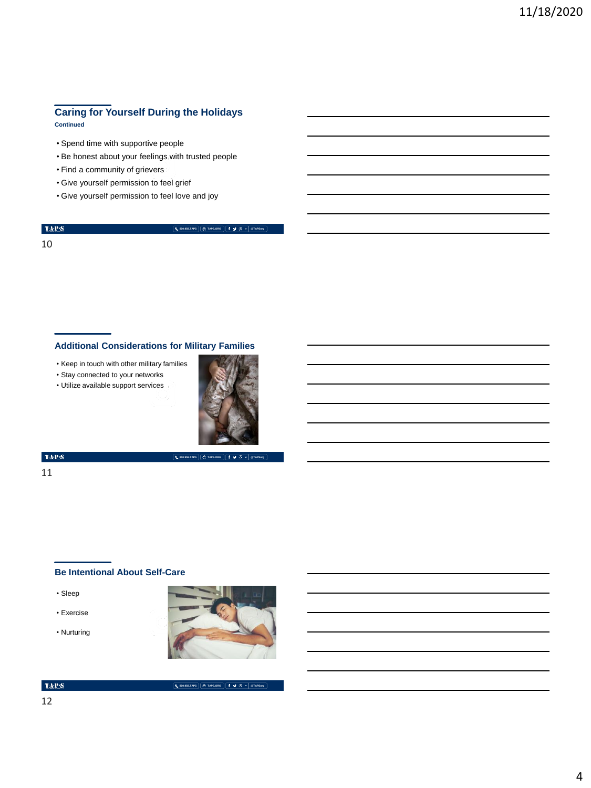# **Caring for Yourself During the Holidays**

**Continued**

- Spend time with supportive people
- Be honest about your feelings with trusted people
- Find a community of grievers
- Give yourself permission to feel grief
- Give yourself permission to feel love and joy

# $\langle \mathbf{T} \mathbf{A} \mathbf{P} \mathbf{S} \rangle$

**800.959.TAPS TAPS.ORG @TAPSorg**

### 10

## **Additional Considerations for Military Families**

- Keep in touch with other military families
- Stay connected to your networks
- Utilize available support services



#### $\langle \mathbf{TA\text{-}P\text{-}S} \rangle$

11

## **800.959.TAPS TAPS.ORG @TAPSorg**

## **Be Intentional About Self-Care**

- Sleep
- Exercise
- Nurturing



**800.959.TAPS TAPS.ORG @TAPSorg**

#### $\langle \mathbf{TAP}\cdot\mathbf{S}\rangle$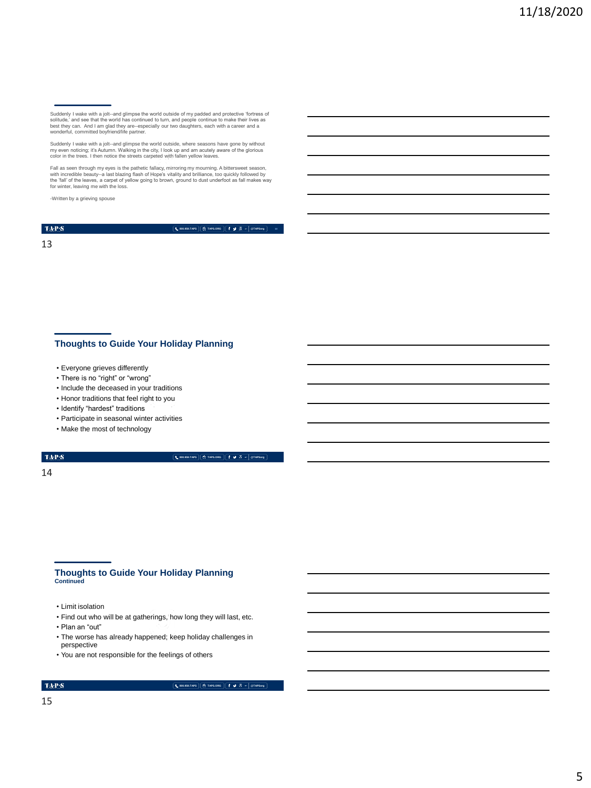Suddenly I wake with a jolt-and glimpse the world outside of my padded and protective "ortress of<br>solitude,' and see that the world has continued to turn, and people continue to make their lives as<br>best they can. And I am

Suddenly I wake with a jolt--and glimpse the world outside, where seasons have gone by without my even noticing; it's Autumn. Walking in the city, I look up and am acutely aware of the glorious color in the trees. I then notice the streets carpeted with fallen yellow leaves.

Fall as seen through my eyes is the pathetic fallacy, mirroring my mourning. A bittersweet season, with incredible beauty--a last blazing flash of Hope's vitality and brilliance, too quickly followed by<br>the 'fall' of the leaves, a carpet of yellow going to brown, ground to dust underfoot as fall makes way<br>for winter, le

-Written by a grieving spouse

 $\mathrm{TAP}S$ 

**800.959.TAPS TAPS.ORG @TAPSorg 13**

13

#### **Thoughts to Guide Your Holiday Planning**

- Everyone grieves differently
- There is no "right" or "wrong"
- Include the deceased in your traditions
- Honor traditions that feel right to you
- Identify "hardest" traditions
- Participate in seasonal winter activities
- Make the most of technology

#### TAP $\mathbf S$

**800.959.TAPS TAPS.ORG @TAPSorg**

14

# **Thoughts to Guide Your Holiday Planning Continued**

- Limit isolation
- Find out who will be at gatherings, how long they will last, etc.
- Plan an "out"
- The worse has already happened; keep holiday challenges in perspective
- You are not responsible for the feelings of others

#### $\mbox{TA-PS}$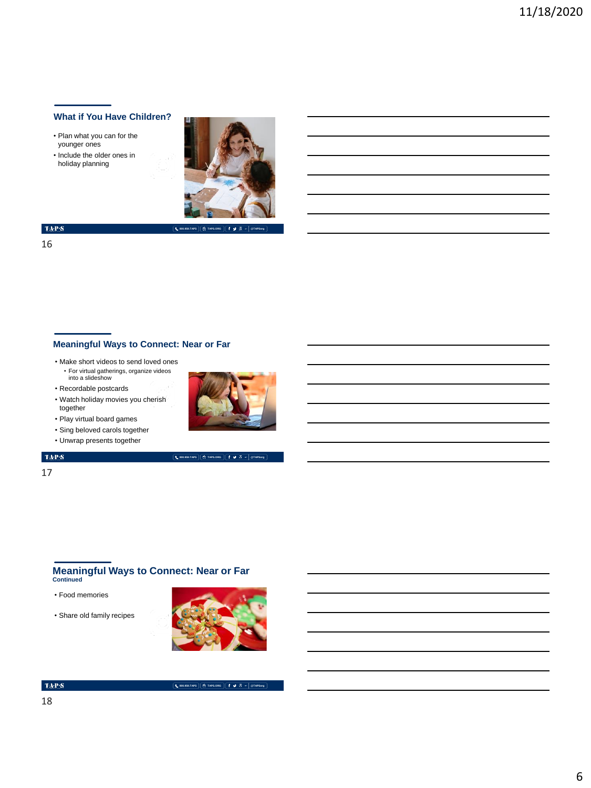## **What if You Have Children?**

- Plan what you can for the younger ones
- Include the older ones in holiday planning



**800.959.TAPS TAPS.ORG @TAPSorg**

 $\langle \mathbf{T} \mathbf{A} \mathbf{P} \mathbf{S} \rangle$ 

16

## **Meaningful Ways to Connect: Near or Far**

- Make short videos to send loved ones • For virtual gatherings, organize videos into a slideshow
- Recordable postcards
- Watch holiday movies you cherish together
- Play virtual board games
- Sing beloved carols together
- Unwrap presents together

#### $\langle \mathbf{T} \mathbf{A} \mathbf{P} \mathbf{S} \rangle$

17



**800.959.TAPS TAPS.ORG @TAPSorg**

## **Meaningful Ways to Connect: Near or Far Continued**

- Food memories
- Share old family recipes



#### $\mbox{TA-PS}$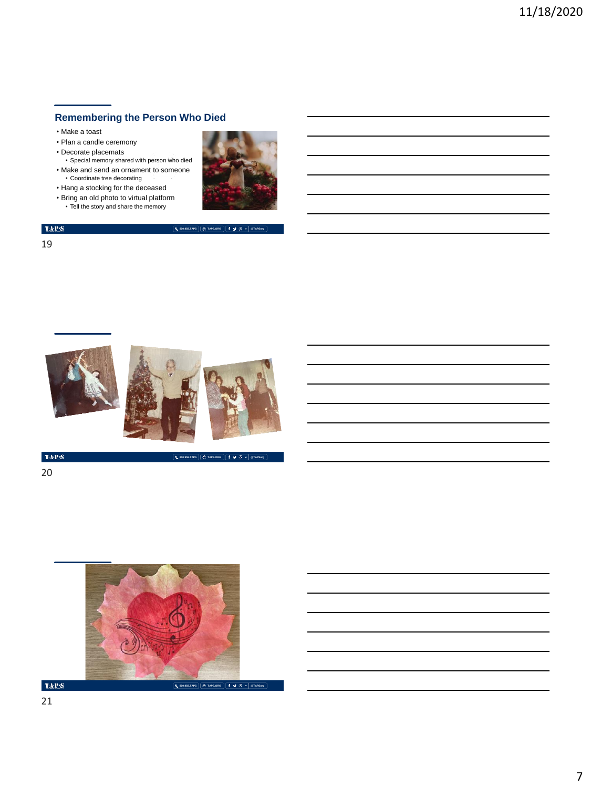## **Remembering the Person Who Died**

- Make a toast
- Plan a candle ceremony
- Decorate placemats
- Special memory shared with person who died • Make and send an ornament to someone • Coordinate tree decorating
- Hang a stocking for the deceased
- 
- Bring an old photo to virtual platform Tell the story and share the memory



**800.959.TAPS TAPS.ORG @TAPSorg**

**800.959.TAPS TAPS.ORG @TAPSorg**



TAP:S



 $\mbox{TAPS}$ 



 $\mathrm{TaPP}(\mathbf{S})$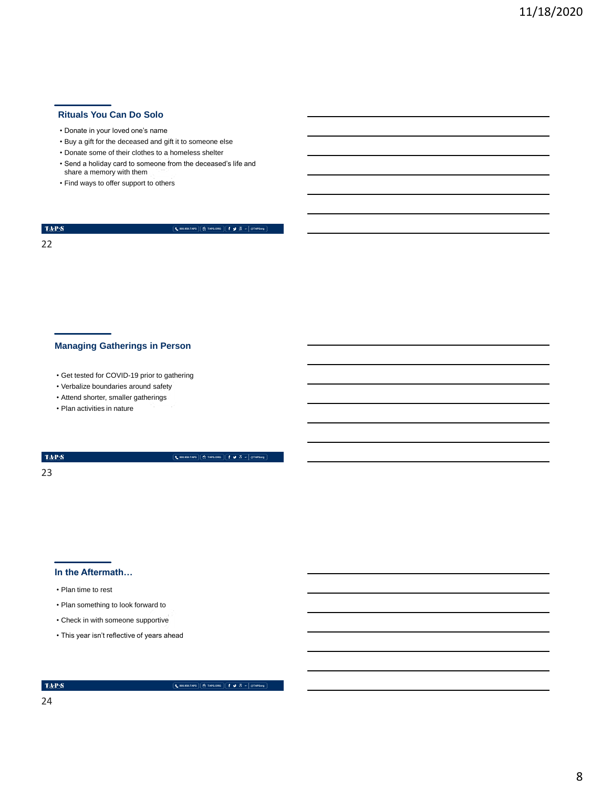## **Rituals You Can Do Solo**

#### • Donate in your loved one's name

- Buy a gift for the deceased and gift it to someone else
- Donate some of their clothes to a homeless shelter
- Send a holiday card to someone from the deceased's life and share a memory with them
- Find ways to offer support to others

#### $\langle \mathbf{T} \mathbf{A} \mathbf{P} \mathbf{S} \rangle$

**800.959.TAPS TAPS.ORG @TAPSorg**

22

## **Managing Gatherings in Person**

- Get tested for COVID-19 prior to gathering
- Verbalize boundaries around safety
- Attend shorter, smaller gatherings
- Plan activities in nature

 $\mathrm{TAP}S$ 

**800.959.TAPS TAPS.ORG @TAPSorg**

23

#### **In the Aftermath…**

- Plan time to rest
- Plan something to look forward to
- Check in with someone supportive
- This year isn't reflective of years ahead

 $\mbox{TA-PS}$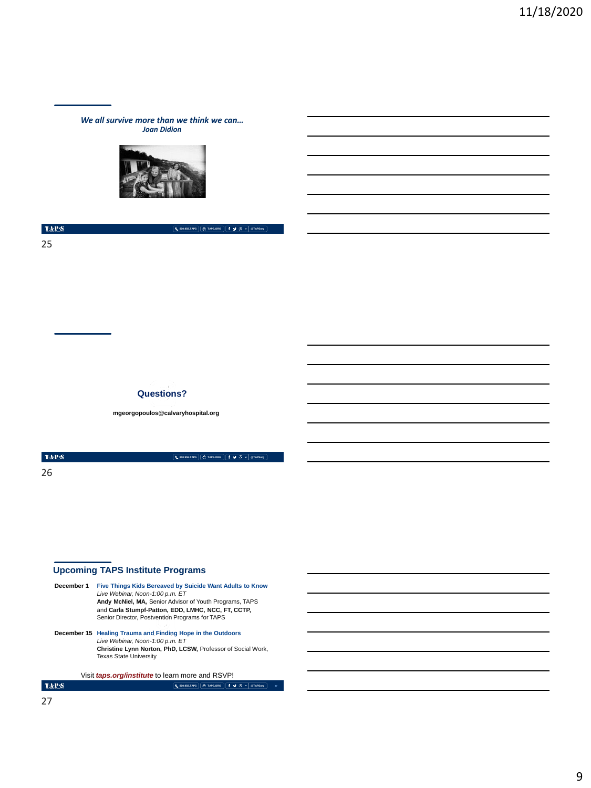*We all survive more than we think we can… Joan Didion*



 $\mathrm{TAPS}$ 

25

#### **Questions?**

**mgeorgopoulos@calvaryhospital.org**

 $\mathrm{TAP}S$ 26

**800.959.TAPS TAPS.ORG @TAPSorg**

**800.959.TAPS TAPS.ORG @TAPSorg**

## **Upcoming TAPS Institute Programs**

**December 1 Five Things Kids Bereaved by Suicide Want Adults to Know**  *Live Webinar, Noon-1:00 p.m. ET* **Andy McNiel, MA,** Senior Advisor of Youth Programs, TAPS and **Carla Stumpf-Patton, EDD, LMHC, NCC, FT, CCTP,**  Senior Director, Postvention Programs for TAPS **December 15 Healing Trauma and Finding Hope in the Outdoors** *Live Webinar, Noon-1:00 p.m. ET* **Christine Lynn Norton, PhD, LCSW,** Professor of Social Work,<br>Texas State University

Visit *taps.org/institute* to learn more and RSVP!

**800.959.TAPS TAPS.ORG @TAPSorg**

**27**

 $\mbox{TA-PS}$